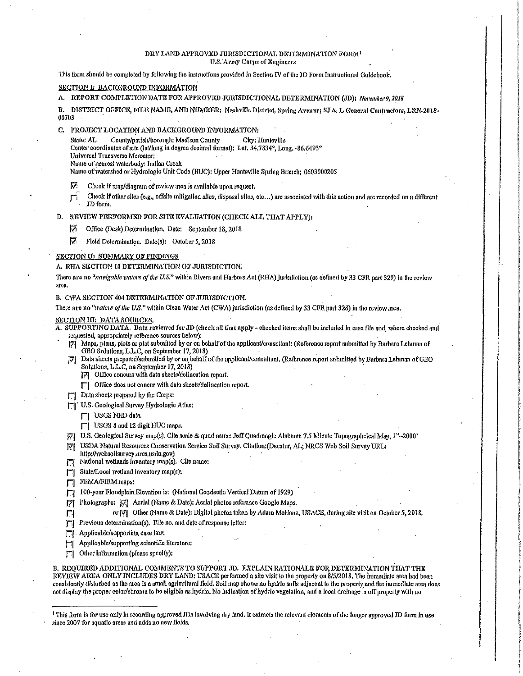### DRY LAND APPROVED JURISDICTIONAL DETERMINATION FORM<sup>1</sup> **U.S. Army Corps of Engineers**

This form should be completed by following the instructions provided in Section IV of the JD Form Instructional Galdebook,

# SECTION I: BACKGROUND INFORMATION

A. REPORT COMPLETION DATE FOR APPROVED JURISDICTIONAL DETERMINATION (JD): November 9, 2018

B. DISTRICT OFFICE, FILE NAME, AND NUMBER: Nashville District, Spring Avenue; SJ & L General Contractors, LRN-2018-00703

C. PROJECT LOCATION AND BACKGROUND INFORMATION:

State: AT. County/parish/borough: Madison County City: Huntsville

- Center coordinates of site (int/long in degree decimal format): Lat. 34.7834°, Long. -86.6493°
- Universal Transverse Mercator:

Name of nearest waterbody: Indian Creek

Name of watershed or Hydrologic Unit Code (HUC): Upper Huntsville Spring Branch; 0603000205

- Ю. Check if map/diagram of review area is available upon request.
- Check if other sites (e.g., offsite mitigation sites, disposal sites, etc...) are associated with this action and are recorded on a different m JD form.

## D. REVIEW PERFORMED FOR SITE EVALUATION (CHECK ALL THAT APPLY):

- ⊽ Office (Desk) Determination. Date: September 18, 2018
- Fleid Determination, Date(s): October 5, 2018 v

#### SECTION II: SUMMARY OF FINDINGS

A. RHA SECTION 10 DETERMINATION OF JURISDICTION.

There are no "navigable waters of the U.S." within Rivers and Harbors Act (RHA) jurisdiction (as defined by 33 CFR part 329) in the review araa.

### B. CWA SECTION 404 DETERMINATION OF JURISDICTION.

There are no "waters of the U.S." within Clean Water Act (CWA) jurisdiction (as defined by 33 CFR part 328) in the review area.

# **SECTION III: DATA SOURCES**

A. SUPPORTING DATA. Data reviewed for JD (check all that apply - checked items shall be included in case file and, where checked and requested, appropriately reference sources below):

- Maps, plans, plots or plat submitted by or on behalf of the applicant/consultant: (Reference report submitted by Barbara Lehman of 咧 GEO Solutions, L.L.C, on September 17, 2018)
- Data sheets prepared/submitted by or on behalf of the applicant/consultant, (Reference report submitted by Barbara Lehman of GEO Solutions, L.L.C, on September 17, 2018)
	- [7] Office conours with data sheets/delineation report.
	- [7] Office does not concur with data sheets/defineation report.
- [7] Data sheets prepared by the Corps:
- U.S. Geological Survey Hydrologic Atlas:
	- $\Box$  USGS NHD data.
	- | USGS 8 and 12 digit HUC maps.
- [7] U.S. Geological Survey map(s). Cite scale & quad name: Jeff Quadrangle Alabama 7.5 Minute Topographeical Map, 1"-2000'
- USDA Natural Resources Conservation Service Soil Survey. Citation: (Decatur, AL; NRCS Web Soll Survey URL: וק
- http://websoilsurvey.nrcs.usda.gov)
- National wetlands inventory map(s). Cite name: П
- State/Local wetland inventory map(s): ГI
- 鬥 FEMA/FIRM maps:

Л

- 100-year Floodplain Elevation is: (National Geodectic Vertical Datum of 1929) П
- Photographs: 77 Aerial (Name & Date): Aerial photos reference Google Maps. 团
	- or  $\nabla$  Other (Name & Date): Digital photos taken by Adam McHann, USACE, during site visit on October 5, 2018,
- Previous determination(s). File no. and date of response letter: 鬥
- $\Box$ Applicable/supporting case law:
- Applicable/supporting scientific literature:
- Other Information (please specify): П

B. REQUIRED ADDITIONAL COMMENTS TO SUPPORT JD. EXPLAIN RATIONALE FOR DETERMINATION THAT THE REVIEW AREA ONLY INCLUDES DRY LAND: USACE performed a site visit to the property on 8/5/2018. The immediate area had been consistently disturbed as the area is a small agricultural field, Soil map shows no hydric soils adjacent to the property and the immediate area does not display the proper color/chroma to be eligible as hydrio. No indication of hydrio vegetation, and a local drainage is off property with no

<sup>&</sup>lt;sup>1</sup> This form is for use only in recording approved JDs involving dry land. It extracts the relevant elements of the longer approved JD form in use since 2007 for aquatic areas and adds no new fields.